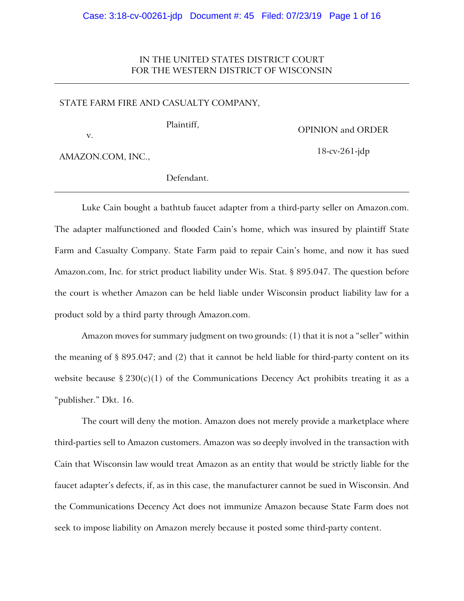# IN THE UNITED STATES DISTRICT COURT FOR THE WESTERN DISTRICT OF WISCONSIN

### STATE FARM FIRE AND CASUALTY COMPANY,

v.

Plaintiff,

OPINION and ORDER

18-cv-261-jdp

AMAZON.COM, INC.,

Defendant.

Luke Cain bought a bathtub faucet adapter from a third-party seller on Amazon.com. The adapter malfunctioned and flooded Cain's home, which was insured by plaintiff State Farm and Casualty Company. State Farm paid to repair Cain's home, and now it has sued Amazon.com, Inc. for strict product liability under Wis. Stat. § 895.047. The question before the court is whether Amazon can be held liable under Wisconsin product liability law for a product sold by a third party through Amazon.com.

Amazon moves for summary judgment on two grounds: (1) that it is not a "seller" within the meaning of  $\S 895.047$ ; and (2) that it cannot be held liable for third-party content on its website because §  $230(c)(1)$  of the Communications Decency Act prohibits treating it as a "publisher." Dkt. 16.

The court will deny the motion. Amazon does not merely provide a marketplace where third-parties sell to Amazon customers. Amazon was so deeply involved in the transaction with Cain that Wisconsin law would treat Amazon as an entity that would be strictly liable for the faucet adapter's defects, if, as in this case, the manufacturer cannot be sued in Wisconsin. And the Communications Decency Act does not immunize Amazon because State Farm does not seek to impose liability on Amazon merely because it posted some third-party content.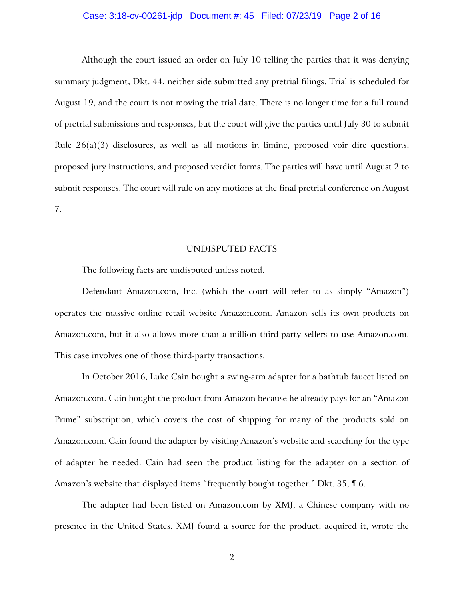### Case: 3:18-cv-00261-jdp Document #: 45 Filed: 07/23/19 Page 2 of 16

Although the court issued an order on July 10 telling the parties that it was denying summary judgment, Dkt. 44, neither side submitted any pretrial filings. Trial is scheduled for August 19, and the court is not moving the trial date. There is no longer time for a full round of pretrial submissions and responses, but the court will give the parties until July 30 to submit Rule 26(a)(3) disclosures, as well as all motions in limine, proposed voir dire questions, proposed jury instructions, and proposed verdict forms. The parties will have until August 2 to submit responses. The court will rule on any motions at the final pretrial conference on August 7.

#### UNDISPUTED FACTS

The following facts are undisputed unless noted.

Defendant Amazon.com, Inc. (which the court will refer to as simply "Amazon") operates the massive online retail website Amazon.com. Amazon sells its own products on Amazon.com, but it also allows more than a million third-party sellers to use Amazon.com. This case involves one of those third-party transactions.

In October 2016, Luke Cain bought a swing-arm adapter for a bathtub faucet listed on Amazon.com. Cain bought the product from Amazon because he already pays for an "Amazon Prime" subscription, which covers the cost of shipping for many of the products sold on Amazon.com. Cain found the adapter by visiting Amazon's website and searching for the type of adapter he needed. Cain had seen the product listing for the adapter on a section of Amazon's website that displayed items "frequently bought together." Dkt. 35, ¶ 6.

The adapter had been listed on Amazon.com by XMJ, a Chinese company with no presence in the United States. XMJ found a source for the product, acquired it, wrote the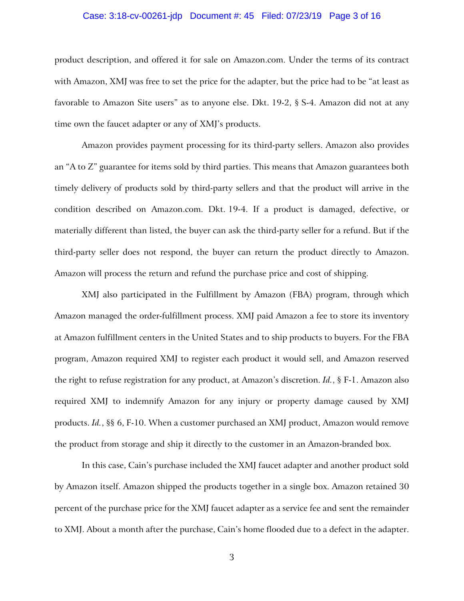### Case: 3:18-cv-00261-jdp Document #: 45 Filed: 07/23/19 Page 3 of 16

product description, and offered it for sale on Amazon.com. Under the terms of its contract with Amazon, XMJ was free to set the price for the adapter, but the price had to be "at least as favorable to Amazon Site users" as to anyone else. Dkt. 19-2, § S-4. Amazon did not at any time own the faucet adapter or any of XMJ's products.

Amazon provides payment processing for its third-party sellers. Amazon also provides an "A to Z" guarantee for items sold by third parties. This means that Amazon guarantees both timely delivery of products sold by third-party sellers and that the product will arrive in the condition described on Amazon.com. Dkt. 19-4. If a product is damaged, defective, or materially different than listed, the buyer can ask the third-party seller for a refund. But if the third-party seller does not respond, the buyer can return the product directly to Amazon. Amazon will process the return and refund the purchase price and cost of shipping.

XMJ also participated in the Fulfillment by Amazon (FBA) program, through which Amazon managed the order-fulfillment process. XMJ paid Amazon a fee to store its inventory at Amazon fulfillment centers in the United States and to ship products to buyers. For the FBA program, Amazon required XMJ to register each product it would sell, and Amazon reserved the right to refuse registration for any product, at Amazon's discretion. *Id.*, § F-1. Amazon also required XMJ to indemnify Amazon for any injury or property damage caused by XMJ products. *Id.*, §§ 6, F-10. When a customer purchased an XMJ product, Amazon would remove the product from storage and ship it directly to the customer in an Amazon-branded box.

In this case, Cain's purchase included the XMJ faucet adapter and another product sold by Amazon itself. Amazon shipped the products together in a single box. Amazon retained 30 percent of the purchase price for the XMJ faucet adapter as a service fee and sent the remainder to XMJ. About a month after the purchase, Cain's home flooded due to a defect in the adapter.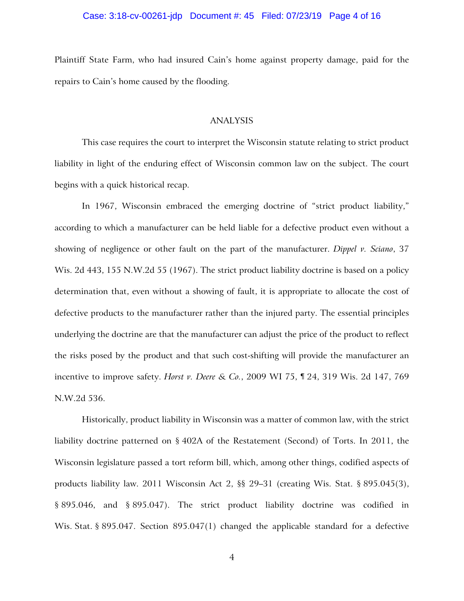### Case: 3:18-cv-00261-jdp Document #: 45 Filed: 07/23/19 Page 4 of 16

Plaintiff State Farm, who had insured Cain's home against property damage, paid for the repairs to Cain's home caused by the flooding.

### ANALYSIS

This case requires the court to interpret the Wisconsin statute relating to strict product liability in light of the enduring effect of Wisconsin common law on the subject. The court begins with a quick historical recap.

In 1967, Wisconsin embraced the emerging doctrine of "strict product liability," according to which a manufacturer can be held liable for a defective product even without a showing of negligence or other fault on the part of the manufacturer. *Dippel v. Sciano*, 37 Wis. 2d 443, 155 N.W.2d 55 (1967). The strict product liability doctrine is based on a policy determination that, even without a showing of fault, it is appropriate to allocate the cost of defective products to the manufacturer rather than the injured party. The essential principles underlying the doctrine are that the manufacturer can adjust the price of the product to reflect the risks posed by the product and that such cost-shifting will provide the manufacturer an incentive to improve safety. *Horst v. Deere & Co.*, 2009 WI 75, ¶ 24, 319 Wis. 2d 147, 769 N.W.2d 536.

Historically, product liability in Wisconsin was a matter of common law, with the strict liability doctrine patterned on § 402A of the Restatement (Second) of Torts. In 2011, the Wisconsin legislature passed a tort reform bill, which, among other things, codified aspects of products liability law. 2011 Wisconsin Act 2, §§ 29–31 (creating Wis. Stat. § 895.045(3), § 895.046, and § 895.047). The strict product liability doctrine was codified in Wis. Stat. § 895.047. Section 895.047(1) changed the applicable standard for a defective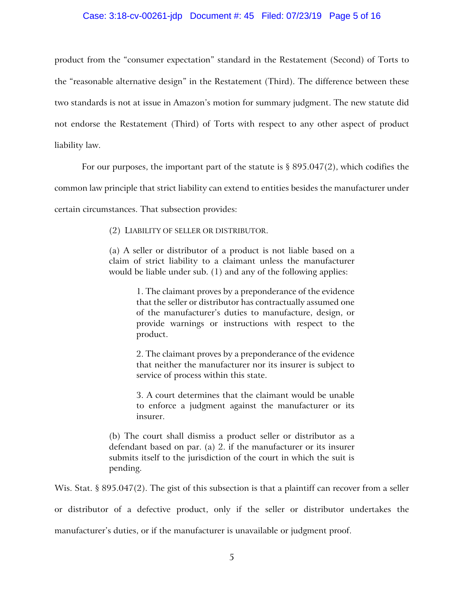### Case: 3:18-cv-00261-jdp Document #: 45 Filed: 07/23/19 Page 5 of 16

product from the "consumer expectation" standard in the Restatement (Second) of Torts to the "reasonable alternative design" in the Restatement (Third). The difference between these two standards is not at issue in Amazon's motion for summary judgment. The new statute did not endorse the Restatement (Third) of Torts with respect to any other aspect of product liability law.

For our purposes, the important part of the statute is  $\S 895.047(2)$ , which codifies the

common law principle that strict liability can extend to entities besides the manufacturer under

certain circumstances. That subsection provides:

(2) LIABILITY OF SELLER OR DISTRIBUTOR.

(a) A seller or distributor of a product is not liable based on a claim of strict liability to a claimant unless the manufacturer would be liable under sub. (1) and any of the following applies:

> 1. The claimant proves by a preponderance of the evidence that the seller or distributor has contractually assumed one of the manufacturer's duties to manufacture, design, or provide warnings or instructions with respect to the product.

> 2. The claimant proves by a preponderance of the evidence that neither the manufacturer nor its insurer is subject to service of process within this state.

> 3. A court determines that the claimant would be unable to enforce a judgment against the manufacturer or its insurer.

(b) The court shall dismiss a product seller or distributor as a defendant based on par. (a) 2. if the manufacturer or its insurer submits itself to the jurisdiction of the court in which the suit is pending.

Wis. Stat. § 895.047(2). The gist of this subsection is that a plaintiff can recover from a seller

or distributor of a defective product, only if the seller or distributor undertakes the

manufacturer's duties, or if the manufacturer is unavailable or judgment proof.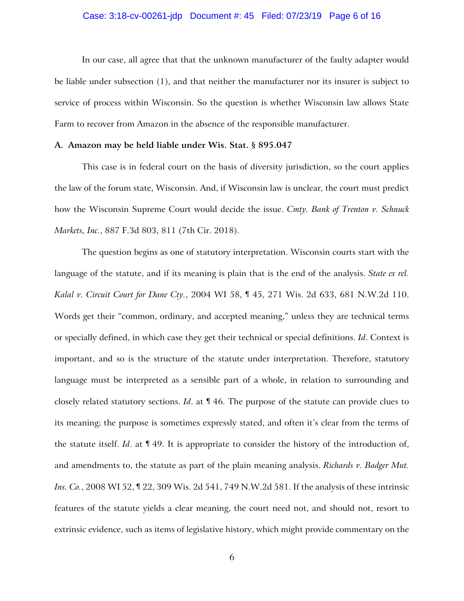### Case: 3:18-cv-00261-jdp Document #: 45 Filed: 07/23/19 Page 6 of 16

In our case, all agree that that the unknown manufacturer of the faulty adapter would be liable under subsection (1), and that neither the manufacturer nor its insurer is subject to service of process within Wisconsin. So the question is whether Wisconsin law allows State Farm to recover from Amazon in the absence of the responsible manufacturer.

### **A. Amazon may be held liable under Wis. Stat. § 895.047**

This case is in federal court on the basis of diversity jurisdiction, so the court applies the law of the forum state, Wisconsin. And, if Wisconsin law is unclear, the court must predict how the Wisconsin Supreme Court would decide the issue. *Cmty. Bank of Trenton v. Schnuck Markets, Inc.*, 887 F.3d 803, 811 (7th Cir. 2018).

The question begins as one of statutory interpretation. Wisconsin courts start with the language of the statute, and if its meaning is plain that is the end of the analysis. *State ex rel. Kalal v. Circuit Court for Dane Cty.*, 2004 WI 58, ¶ 45, 271 Wis. 2d 633, 681 N.W.2d 110. Words get their "common, ordinary, and accepted meaning," unless they are technical terms or specially defined, in which case they get their technical or special definitions. *Id*. Context is important, and so is the structure of the statute under interpretation. Therefore, statutory language must be interpreted as a sensible part of a whole, in relation to surrounding and closely related statutory sections. *Id*. at ¶ 46. The purpose of the statute can provide clues to its meaning; the purpose is sometimes expressly stated, and often it's clear from the terms of the statute itself. *Id*. at ¶ 49. It is appropriate to consider the history of the introduction of, and amendments to, the statute as part of the plain meaning analysis. *Richards v. Badger Mut. Ins. Co.*, 2008 WI 52, ¶ 22, 309 Wis. 2d 541, 749 N.W.2d 581. If the analysis of these intrinsic features of the statute yields a clear meaning, the court need not, and should not, resort to extrinsic evidence, such as items of legislative history, which might provide commentary on the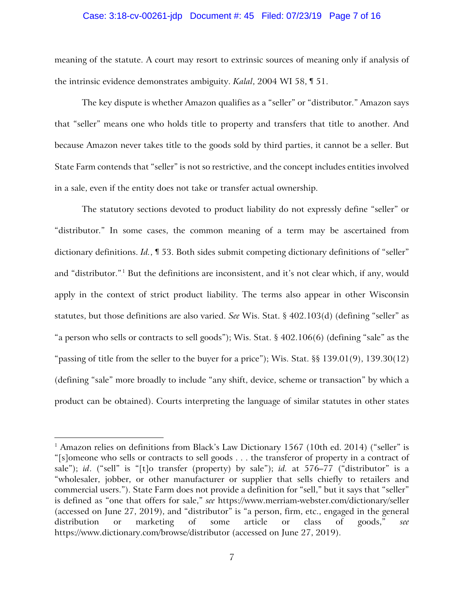### Case: 3:18-cv-00261-jdp Document #: 45 Filed: 07/23/19 Page 7 of 16

meaning of the statute. A court may resort to extrinsic sources of meaning only if analysis of the intrinsic evidence demonstrates ambiguity. *Kalal*, 2004 WI 58, ¶ 51.

The key dispute is whether Amazon qualifies as a "seller" or "distributor." Amazon says that "seller" means one who holds title to property and transfers that title to another. And because Amazon never takes title to the goods sold by third parties, it cannot be a seller. But State Farm contends that "seller" is not so restrictive, and the concept includes entities involved in a sale, even if the entity does not take or transfer actual ownership.

The statutory sections devoted to product liability do not expressly define "seller" or "distributor." In some cases, the common meaning of a term may be ascertained from dictionary definitions. *Id.*, ¶ 53. Both sides submit competing dictionary definitions of "seller" and "distributor."<sup>1</sup> But the definitions are inconsistent, and it's not clear which, if any, would apply in the context of strict product liability. The terms also appear in other Wisconsin statutes, but those definitions are also varied. *See* Wis. Stat. § 402.103(d) (defining "seller" as "a person who sells or contracts to sell goods"); Wis. Stat. § 402.106(6) (defining "sale" as the "passing of title from the seller to the buyer for a price"); Wis. Stat. §§ 139.01(9), 139.30(12) (defining "sale" more broadly to include "any shift, device, scheme or transaction" by which a product can be obtained). Courts interpreting the language of similar statutes in other states

 $\overline{a}$ 

<sup>&</sup>lt;sup>1</sup> Amazon relies on definitions from Black's Law Dictionary 1567 (10th ed. 2014) ("seller" is "[s]omeone who sells or contracts to sell goods . . . the transferor of property in a contract of sale"); *id*. ("sell" is "[t]o transfer (property) by sale"); *id.* at 576–77 ("distributor" is a "wholesaler, jobber, or other manufacturer or supplier that sells chiefly to retailers and commercial users."). State Farm does not provide a definition for "sell," but it says that "seller" is defined as "one that offers for sale," *see* https://www.merriam-webster.com/dictionary/seller (accessed on June 27, 2019), and "distributor" is "a person, firm, etc., engaged in the general distribution or marketing of some article or class of goods," *see* https://www.dictionary.com/browse/distributor (accessed on June 27, 2019).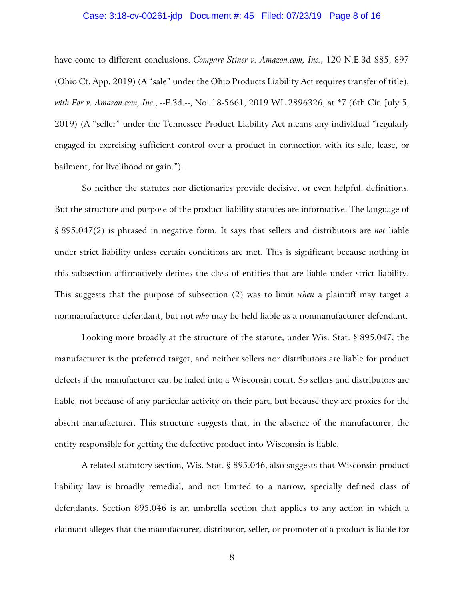### Case: 3:18-cv-00261-jdp Document #: 45 Filed: 07/23/19 Page 8 of 16

have come to different conclusions. *Compare Stiner v. Amazon.com, Inc.*, 120 N.E.3d 885, 897 (Ohio Ct. App. 2019) (A "sale" under the Ohio Products Liability Act requires transfer of title), *with Fox v. Amazon.com, Inc.*, --F.3d.--, No. 18-5661, 2019 WL 2896326, at \*7 (6th Cir. July 5, 2019) (A "seller" under the Tennessee Product Liability Act means any individual "regularly engaged in exercising sufficient control over a product in connection with its sale, lease, or bailment, for livelihood or gain.").

So neither the statutes nor dictionaries provide decisive, or even helpful, definitions. But the structure and purpose of the product liability statutes are informative. The language of § 895.047(2) is phrased in negative form. It says that sellers and distributors are *not* liable under strict liability unless certain conditions are met. This is significant because nothing in this subsection affirmatively defines the class of entities that are liable under strict liability. This suggests that the purpose of subsection (2) was to limit *when* a plaintiff may target a nonmanufacturer defendant, but not *who* may be held liable as a nonmanufacturer defendant.

Looking more broadly at the structure of the statute, under Wis. Stat. § 895.047, the manufacturer is the preferred target, and neither sellers nor distributors are liable for product defects if the manufacturer can be haled into a Wisconsin court. So sellers and distributors are liable, not because of any particular activity on their part, but because they are proxies for the absent manufacturer. This structure suggests that, in the absence of the manufacturer, the entity responsible for getting the defective product into Wisconsin is liable.

A related statutory section, Wis. Stat. § 895.046, also suggests that Wisconsin product liability law is broadly remedial, and not limited to a narrow, specially defined class of defendants. Section 895.046 is an umbrella section that applies to any action in which a claimant alleges that the manufacturer, distributor, seller, or promoter of a product is liable for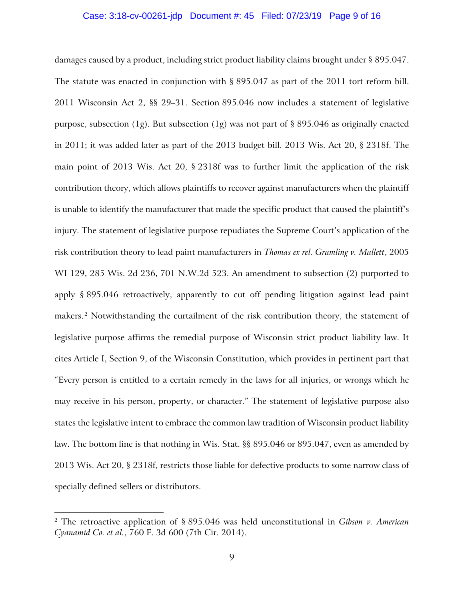### Case: 3:18-cv-00261-jdp Document #: 45 Filed: 07/23/19 Page 9 of 16

damages caused by a product, including strict product liability claims brought under § 895.047. The statute was enacted in conjunction with § 895.047 as part of the 2011 tort reform bill. 2011 Wisconsin Act 2, §§ 29–31. Section 895.046 now includes a statement of legislative purpose, subsection (1g). But subsection (1g) was not part of § 895.046 as originally enacted in 2011; it was added later as part of the 2013 budget bill. 2013 Wis. Act 20, § 2318f. The main point of 2013 Wis. Act 20, § 2318f was to further limit the application of the risk contribution theory, which allows plaintiffs to recover against manufacturers when the plaintiff is unable to identify the manufacturer that made the specific product that caused the plaintiff's injury. The statement of legislative purpose repudiates the Supreme Court's application of the risk contribution theory to lead paint manufacturers in *Thomas ex rel. Gramling v. Mallett*, 2005 WI 129, 285 Wis. 2d 236, 701 N.W.2d 523. An amendment to subsection (2) purported to apply § 895.046 retroactively, apparently to cut off pending litigation against lead paint makers.<sup>2</sup> Notwithstanding the curtailment of the risk contribution theory, the statement of legislative purpose affirms the remedial purpose of Wisconsin strict product liability law. It cites Article I, Section 9, of the Wisconsin Constitution, which provides in pertinent part that "Every person is entitled to a certain remedy in the laws for all injuries, or wrongs which he may receive in his person, property, or character." The statement of legislative purpose also states the legislative intent to embrace the common law tradition of Wisconsin product liability law. The bottom line is that nothing in Wis. Stat. §§ 895.046 or 895.047, even as amended by 2013 Wis. Act 20, § 2318f, restricts those liable for defective products to some narrow class of specially defined sellers or distributors.

 $\overline{a}$ 

<sup>2</sup> The retroactive application of § 895.046 was held unconstitutional in *Gibson v. American Cyanamid Co. et al.*, 760 F. 3d 600 (7th Cir. 2014).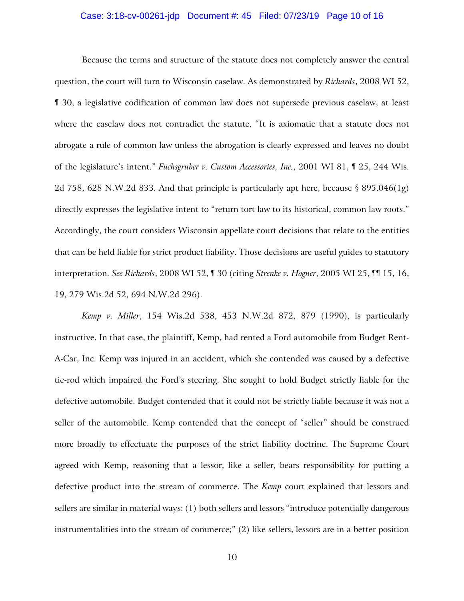### Case: 3:18-cv-00261-jdp Document #: 45 Filed: 07/23/19 Page 10 of 16

Because the terms and structure of the statute does not completely answer the central question, the court will turn to Wisconsin caselaw. As demonstrated by *Richards*, 2008 WI 52, ¶ 30, a legislative codification of common law does not supersede previous caselaw, at least where the caselaw does not contradict the statute. "It is axiomatic that a statute does not abrogate a rule of common law unless the abrogation is clearly expressed and leaves no doubt of the legislature's intent." *Fuchsgruber v. Custom Accessories, Inc.*, 2001 WI 81, ¶ 25, 244 Wis. 2d 758, 628 N.W.2d 833. And that principle is particularly apt here, because § 895.046(1g) directly expresses the legislative intent to "return tort law to its historical, common law roots." Accordingly, the court considers Wisconsin appellate court decisions that relate to the entities that can be held liable for strict product liability. Those decisions are useful guides to statutory interpretation. *See Richards*, 2008 WI 52, ¶ 30 (citing *Strenke v. Hogner*, 2005 WI 25, ¶¶ 15, 16, 19, 279 Wis.2d 52, 694 N.W.2d 296).

*Kemp v. Miller*, 154 Wis.2d 538, 453 N.W.2d 872, 879 (1990), is particularly instructive. In that case, the plaintiff, Kemp, had rented a Ford automobile from Budget Rent-A-Car, Inc. Kemp was injured in an accident, which she contended was caused by a defective tie-rod which impaired the Ford's steering. She sought to hold Budget strictly liable for the defective automobile. Budget contended that it could not be strictly liable because it was not a seller of the automobile. Kemp contended that the concept of "seller" should be construed more broadly to effectuate the purposes of the strict liability doctrine. The Supreme Court agreed with Kemp, reasoning that a lessor, like a seller, bears responsibility for putting a defective product into the stream of commerce. The *Kemp* court explained that lessors and sellers are similar in material ways: (1) both sellers and lessors "introduce potentially dangerous instrumentalities into the stream of commerce;" (2) like sellers, lessors are in a better position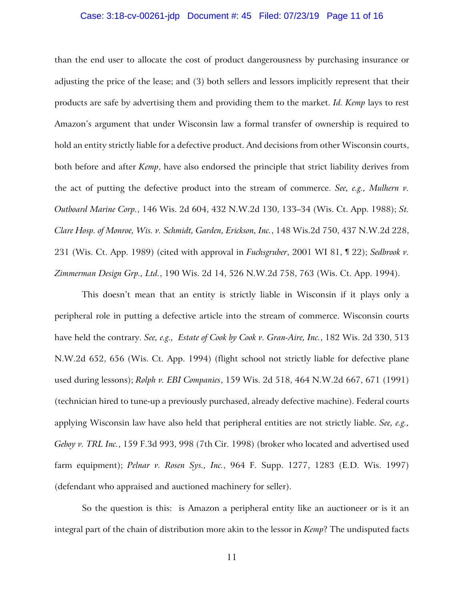### Case: 3:18-cv-00261-jdp Document #: 45 Filed: 07/23/19 Page 11 of 16

than the end user to allocate the cost of product dangerousness by purchasing insurance or adjusting the price of the lease; and (3) both sellers and lessors implicitly represent that their products are safe by advertising them and providing them to the market. *Id. Kemp* lays to rest Amazon's argument that under Wisconsin law a formal transfer of ownership is required to hold an entity strictly liable for a defective product. And decisions from other Wisconsin courts, both before and after *Kemp*, have also endorsed the principle that strict liability derives from the act of putting the defective product into the stream of commerce. *See, e.g., Mulhern v. Outboard Marine Corp.*, 146 Wis. 2d 604, 432 N.W.2d 130, 133–34 (Wis. Ct. App. 1988); *St. Clare Hosp. of Monroe, Wis. v. Schmidt, Garden, Erickson, Inc.*, 148 Wis.2d 750, 437 N.W.2d 228, 231 (Wis. Ct. App. 1989) (cited with approval in *Fuchsgruber*, 2001 WI 81, ¶ 22); *Sedbrook v. Zimmerman Design Grp., Ltd.*, 190 Wis. 2d 14, 526 N.W.2d 758, 763 (Wis. Ct. App. 1994).

This doesn't mean that an entity is strictly liable in Wisconsin if it plays only a peripheral role in putting a defective article into the stream of commerce. Wisconsin courts have held the contrary. *See, e.g., Estate of Cook by Cook v. Gran-Aire, Inc.*, 182 Wis. 2d 330, 513 N.W.2d 652, 656 (Wis. Ct. App. 1994) (flight school not strictly liable for defective plane used during lessons); *Rolph v. EBI Companies*, 159 Wis. 2d 518, 464 N.W.2d 667, 671 (1991) (technician hired to tune-up a previously purchased, already defective machine). Federal courts applying Wisconsin law have also held that peripheral entities are not strictly liable. *See, e.g., Geboy v. TRL Inc.*, 159 F.3d 993, 998 (7th Cir. 1998) (broker who located and advertised used farm equipment); *Pelnar v. Rosen Sys., Inc.*, 964 F. Supp. 1277, 1283 (E.D. Wis. 1997) (defendant who appraised and auctioned machinery for seller).

So the question is this: is Amazon a peripheral entity like an auctioneer or is it an integral part of the chain of distribution more akin to the lessor in *Kemp*? The undisputed facts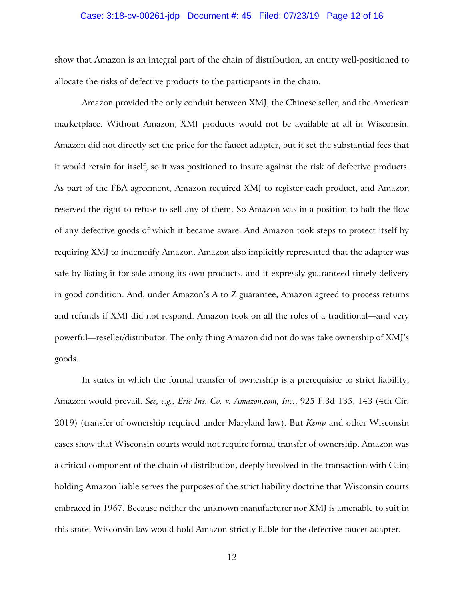### Case: 3:18-cv-00261-jdp Document #: 45 Filed: 07/23/19 Page 12 of 16

show that Amazon is an integral part of the chain of distribution, an entity well-positioned to allocate the risks of defective products to the participants in the chain.

Amazon provided the only conduit between XMJ, the Chinese seller, and the American marketplace. Without Amazon, XMJ products would not be available at all in Wisconsin. Amazon did not directly set the price for the faucet adapter, but it set the substantial fees that it would retain for itself, so it was positioned to insure against the risk of defective products. As part of the FBA agreement, Amazon required XMJ to register each product, and Amazon reserved the right to refuse to sell any of them. So Amazon was in a position to halt the flow of any defective goods of which it became aware. And Amazon took steps to protect itself by requiring XMJ to indemnify Amazon. Amazon also implicitly represented that the adapter was safe by listing it for sale among its own products, and it expressly guaranteed timely delivery in good condition. And, under Amazon's A to Z guarantee, Amazon agreed to process returns and refunds if XMJ did not respond. Amazon took on all the roles of a traditional—and very powerful—reseller/distributor. The only thing Amazon did not do was take ownership of XMJ's goods.

In states in which the formal transfer of ownership is a prerequisite to strict liability, Amazon would prevail. *See, e.g., Erie Ins. Co. v. Amazon.com, Inc.*, 925 F.3d 135, 143 (4th Cir. 2019) (transfer of ownership required under Maryland law). But *Kemp* and other Wisconsin cases show that Wisconsin courts would not require formal transfer of ownership. Amazon was a critical component of the chain of distribution, deeply involved in the transaction with Cain; holding Amazon liable serves the purposes of the strict liability doctrine that Wisconsin courts embraced in 1967. Because neither the unknown manufacturer nor XMJ is amenable to suit in this state, Wisconsin law would hold Amazon strictly liable for the defective faucet adapter.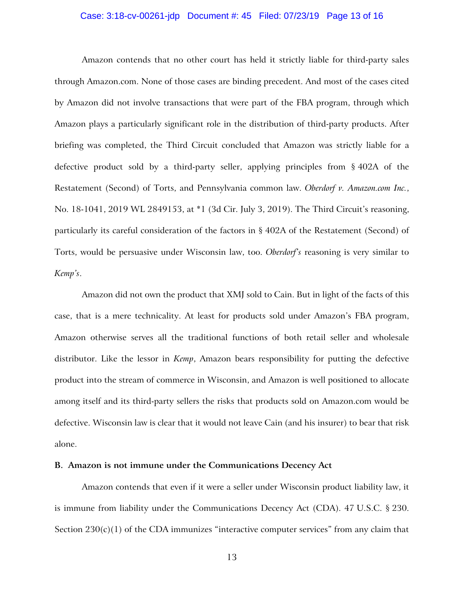### Case: 3:18-cv-00261-jdp Document #: 45 Filed: 07/23/19 Page 13 of 16

Amazon contends that no other court has held it strictly liable for third-party sales through Amazon.com. None of those cases are binding precedent. And most of the cases cited by Amazon did not involve transactions that were part of the FBA program, through which Amazon plays a particularly significant role in the distribution of third-party products. After briefing was completed, the Third Circuit concluded that Amazon was strictly liable for a defective product sold by a third-party seller, applying principles from § 402A of the Restatement (Second) of Torts, and Pennsylvania common law. *Oberdorf v. Amazon.com Inc.*, No. 18-1041, 2019 WL 2849153, at \*1 (3d Cir. July 3, 2019). The Third Circuit's reasoning, particularly its careful consideration of the factors in § 402A of the Restatement (Second) of Torts, would be persuasive under Wisconsin law, too. *Oberdorf's* reasoning is very similar to *Kemp's*.

Amazon did not own the product that XMJ sold to Cain. But in light of the facts of this case, that is a mere technicality. At least for products sold under Amazon's FBA program, Amazon otherwise serves all the traditional functions of both retail seller and wholesale distributor. Like the lessor in *Kemp*, Amazon bears responsibility for putting the defective product into the stream of commerce in Wisconsin, and Amazon is well positioned to allocate among itself and its third-party sellers the risks that products sold on Amazon.com would be defective. Wisconsin law is clear that it would not leave Cain (and his insurer) to bear that risk alone.

### **B. Amazon is not immune under the Communications Decency Act**

Amazon contends that even if it were a seller under Wisconsin product liability law, it is immune from liability under the Communications Decency Act (CDA). 47 U.S.C. § 230. Section  $230(c)(1)$  of the CDA immunizes "interactive computer services" from any claim that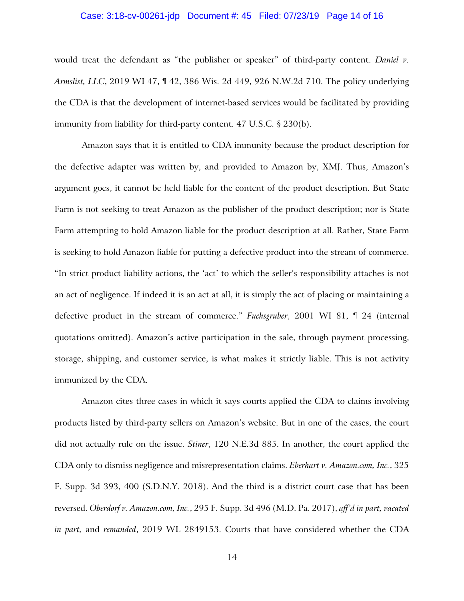### Case: 3:18-cv-00261-jdp Document #: 45 Filed: 07/23/19 Page 14 of 16

would treat the defendant as "the publisher or speaker" of third-party content. *Daniel v. Armslist, LLC*, 2019 WI 47, ¶ 42, 386 Wis. 2d 449, 926 N.W.2d 710. The policy underlying the CDA is that the development of internet-based services would be facilitated by providing immunity from liability for third-party content. 47 U.S.C. § 230(b).

Amazon says that it is entitled to CDA immunity because the product description for the defective adapter was written by, and provided to Amazon by, XMJ. Thus, Amazon's argument goes, it cannot be held liable for the content of the product description. But State Farm is not seeking to treat Amazon as the publisher of the product description; nor is State Farm attempting to hold Amazon liable for the product description at all. Rather, State Farm is seeking to hold Amazon liable for putting a defective product into the stream of commerce. "In strict product liability actions, the 'act' to which the seller's responsibility attaches is not an act of negligence. If indeed it is an act at all, it is simply the act of placing or maintaining a defective product in the stream of commerce." *Fuchsgruber*, 2001 WI 81, ¶ 24 (internal quotations omitted). Amazon's active participation in the sale, through payment processing, storage, shipping, and customer service, is what makes it strictly liable. This is not activity immunized by the CDA.

Amazon cites three cases in which it says courts applied the CDA to claims involving products listed by third-party sellers on Amazon's website. But in one of the cases, the court did not actually rule on the issue. *Stiner*, 120 N.E.3d 885. In another, the court applied the CDA only to dismiss negligence and misrepresentation claims. *Eberhart v. Amazon.com, Inc.*, 325 F. Supp. 3d 393, 400 (S.D.N.Y. 2018). And the third is a district court case that has been reversed. *Oberdorf v. Amazon.com, Inc.*, 295 F. Supp. 3d 496 (M.D. Pa. 2017), *aff'd in part, vacated in part,* and *remanded*, 2019 WL 2849153. Courts that have considered whether the CDA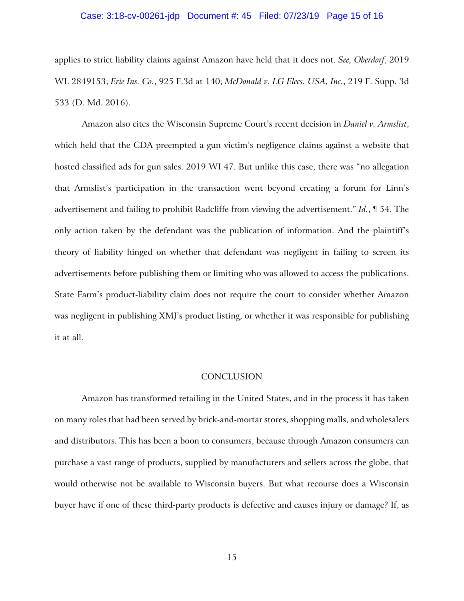### Case: 3:18-cv-00261-jdp Document #: 45 Filed: 07/23/19 Page 15 of 16

applies to strict liability claims against Amazon have held that it does not. *See, Oberdorf*, 2019 WL 2849153; *Erie Ins. Co.*, 925 F.3d at 140; *McDonald v. LG Elecs. USA, Inc.*, 219 F. Supp. 3d 533 (D. Md. 2016).

Amazon also cites the Wisconsin Supreme Court's recent decision in *Daniel v. Armslist*, which held that the CDA preempted a gun victim's negligence claims against a website that hosted classified ads for gun sales. 2019 WI 47. But unlike this case, there was "no allegation that Armslist's participation in the transaction went beyond creating a forum for Linn's advertisement and failing to prohibit Radcliffe from viewing the advertisement." *Id.*, ¶ 54. The only action taken by the defendant was the publication of information. And the plaintiff's theory of liability hinged on whether that defendant was negligent in failing to screen its advertisements before publishing them or limiting who was allowed to access the publications. State Farm's product-liability claim does not require the court to consider whether Amazon was negligent in publishing XMJ's product listing, or whether it was responsible for publishing it at all.

#### **CONCLUSION**

Amazon has transformed retailing in the United States, and in the process it has taken on many roles that had been served by brick-and-mortar stores, shopping malls, and wholesalers and distributors. This has been a boon to consumers, because through Amazon consumers can purchase a vast range of products, supplied by manufacturers and sellers across the globe, that would otherwise not be available to Wisconsin buyers. But what recourse does a Wisconsin buyer have if one of these third-party products is defective and causes injury or damage? If, as